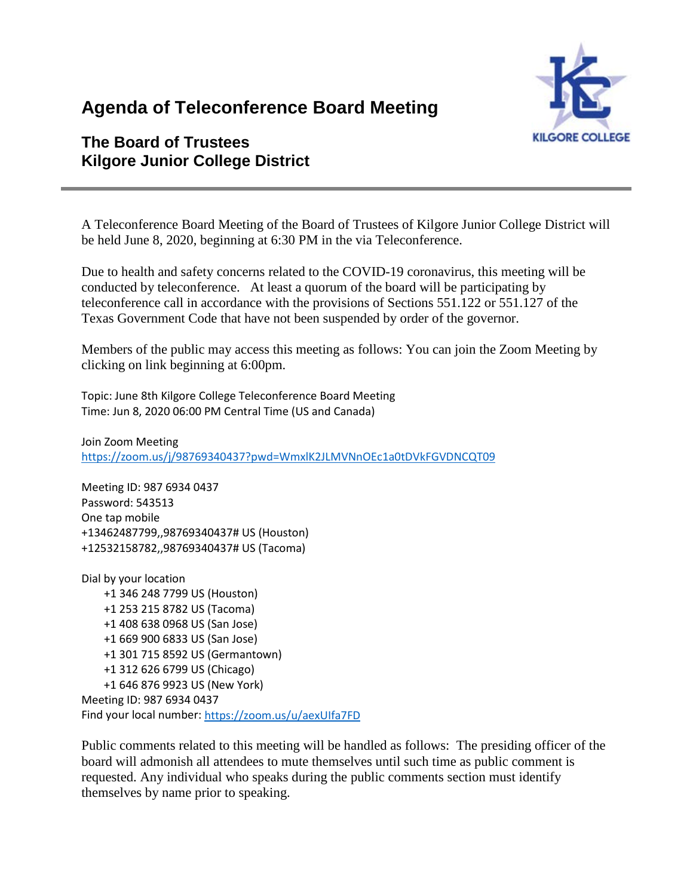# **Agenda of Teleconference Board Meeting**



# **The Board of Trustees Kilgore Junior College District**

A Teleconference Board Meeting of the Board of Trustees of Kilgore Junior College District will be held June 8, 2020, beginning at 6:30 PM in the via Teleconference.

Due to health and safety concerns related to the COVID-19 coronavirus, this meeting will be conducted by teleconference. At least a quorum of the board will be participating by teleconference call in accordance with the provisions of Sections 551.122 or 551.127 of the Texas Government Code that have not been suspended by order of the governor.

Members of the public may access this meeting as follows: You can join the Zoom Meeting by clicking on link beginning at 6:00pm.

Topic: June 8th Kilgore College Teleconference Board Meeting Time: Jun 8, 2020 06:00 PM Central Time (US and Canada)

Join Zoom Meeting <https://zoom.us/j/98769340437?pwd=WmxlK2JLMVNnOEc1a0tDVkFGVDNCQT09>

Meeting ID: 987 6934 0437 Password: 543513 One tap mobile +13462487799,,98769340437# US (Houston) +12532158782,,98769340437# US (Tacoma)

Dial by your location +1 346 248 7799 US (Houston) +1 253 215 8782 US (Tacoma) +1 408 638 0968 US (San Jose) +1 669 900 6833 US (San Jose) +1 301 715 8592 US (Germantown) +1 312 626 6799 US (Chicago) +1 646 876 9923 US (New York) Meeting ID: 987 6934 0437 Find your local number[: https://zoom.us/u/aexUIfa7FD](https://zoom.us/u/aexUIfa7FD)

Public comments related to this meeting will be handled as follows: The presiding officer of the board will admonish all attendees to mute themselves until such time as public comment is requested. Any individual who speaks during the public comments section must identify themselves by name prior to speaking.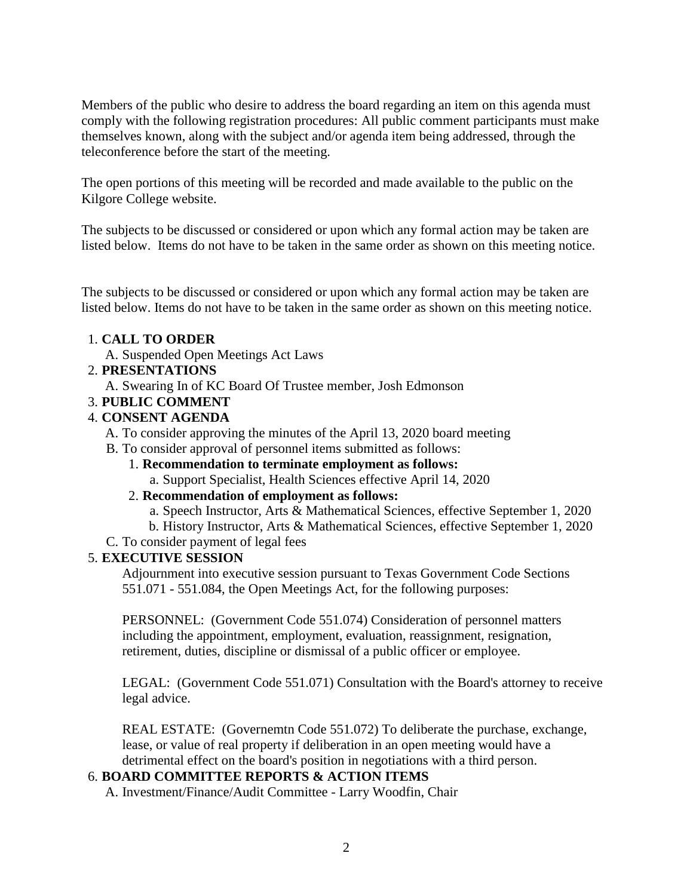Members of the public who desire to address the board regarding an item on this agenda must comply with the following registration procedures: All public comment participants must make themselves known, along with the subject and/or agenda item being addressed, through the teleconference before the start of the meeting.

The open portions of this meeting will be recorded and made available to the public on the Kilgore College website.

The subjects to be discussed or considered or upon which any formal action may be taken are listed below. Items do not have to be taken in the same order as shown on this meeting notice.

The subjects to be discussed or considered or upon which any formal action may be taken are listed below. Items do not have to be taken in the same order as shown on this meeting notice.

# 1. **CALL TO ORDER**

- A. Suspended Open Meetings Act Laws
- 2. **PRESENTATIONS**
	- A. Swearing In of KC Board Of Trustee member, Josh Edmonson
- 3. **PUBLIC COMMENT**

# 4. **CONSENT AGENDA**

- A. To consider approving the minutes of the April 13, 2020 board meeting
- B. To consider approval of personnel items submitted as follows:
	- 1. **Recommendation to terminate employment as follows:** a. Support Specialist, Health Sciences effective April 14, 2020

#### 2. **Recommendation of employment as follows:**

- a. Speech Instructor, Arts & Mathematical Sciences, effective September 1, 2020
- b. History Instructor, Arts & Mathematical Sciences, effective September 1, 2020
- C. To consider payment of legal fees

# 5. **EXECUTIVE SESSION**

Adjournment into executive session pursuant to Texas Government Code Sections 551.071 - 551.084, the Open Meetings Act, for the following purposes:

PERSONNEL: (Government Code 551.074) Consideration of personnel matters including the appointment, employment, evaluation, reassignment, resignation, retirement, duties, discipline or dismissal of a public officer or employee.

LEGAL: (Government Code 551.071) Consultation with the Board's attorney to receive legal advice.

REAL ESTATE: (Governemtn Code 551.072) To deliberate the purchase, exchange, lease, or value of real property if deliberation in an open meeting would have a detrimental effect on the board's position in negotiations with a third person.

# 6. **BOARD COMMITTEE REPORTS & ACTION ITEMS**

A. Investment/Finance/Audit Committee - Larry Woodfin, Chair